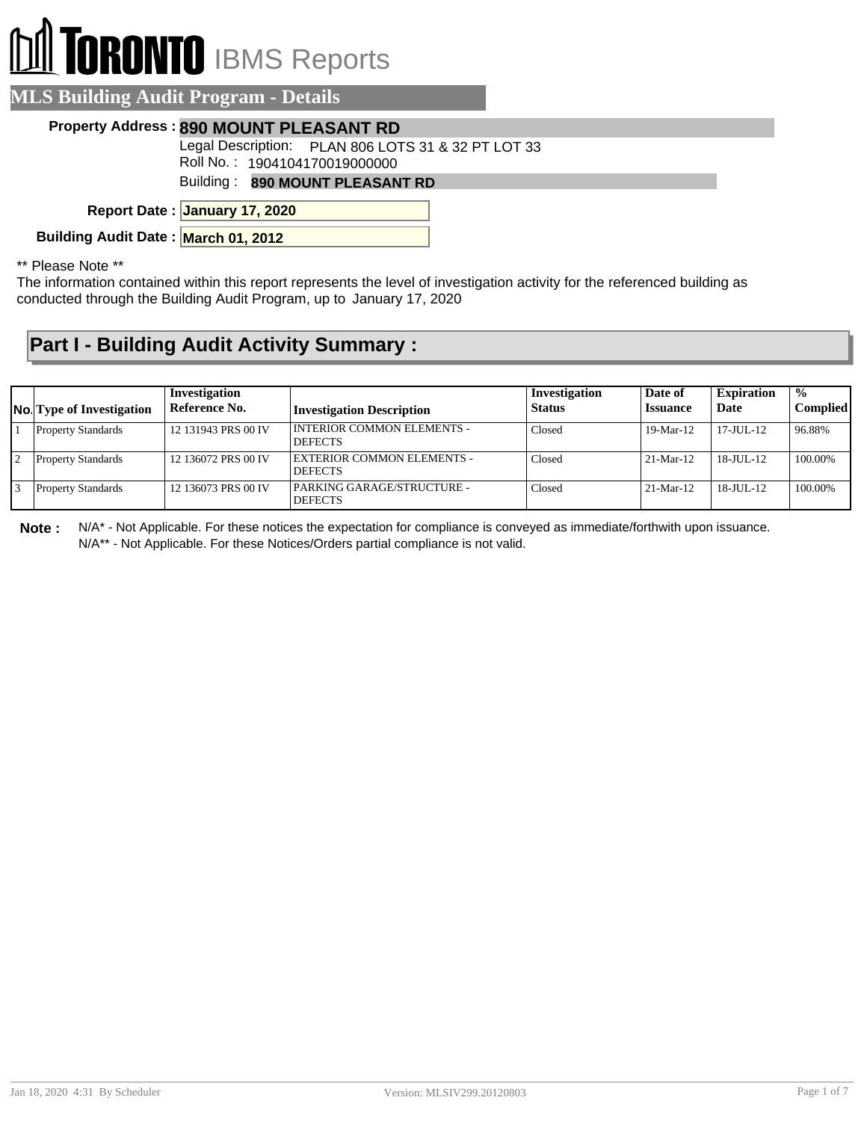## **RONTO** IBMS Reports

|                                     | <b>MLS Building Audit Program - Details</b>                                         |
|-------------------------------------|-------------------------------------------------------------------------------------|
|                                     | Property Address: 890 MOUNT PLEASANT RD                                             |
|                                     | Legal Description: PLAN 806 LOTS 31 & 32 PT LOT 33<br>Roll No.: 1904104170019000000 |
|                                     | Building: 890 MOUNT PLEASANT RD                                                     |
|                                     | Report Date: January 17, 2020                                                       |
| Building Audit Date: March 01, 2012 |                                                                                     |

\*\* Please Note \*\*

The information contained within this report represents the level of investigation activity for the referenced building as conducted through the Building Audit Program, up to January 17, 2020

## **Part I - Building Audit Activity Summary :**

| <b>No.</b> Type of Investigation | Investigation<br>Reference No. | <b>Investigation Description</b>               | Investigation<br><b>Status</b> | Date of<br><b>Issuance</b> | <b>Expiration</b><br>Date | $\frac{0}{0}$<br><b>Complied</b> |
|----------------------------------|--------------------------------|------------------------------------------------|--------------------------------|----------------------------|---------------------------|----------------------------------|
| <b>Property Standards</b>        | 12 131943 PRS 00 IV            | I INTERIOR COMMON ELEMENTS -<br><b>DEFECTS</b> | Closed                         | $19-Mar-12$                | 17-JUL-12                 | 96.88%                           |
| <b>Property Standards</b>        | 12 136072 PRS 00 IV            | EXTERIOR COMMON ELEMENTS -<br><b>DEFECTS</b>   | Closed                         | $21-Mar-12$                | $18 - JUII - 12$          | 100.00%                          |
| <b>Property Standards</b>        | 12 136073 PRS 00 IV            | PARKING GARAGE/STRUCTURE -<br><b>DEFECTS</b>   | Closed                         | $21-Mar-12$                | 18-JUL-12                 | 100.00%                          |

**Note :** N/A\* - Not Applicable. For these notices the expectation for compliance is conveyed as immediate/forthwith upon issuance. N/A\*\* - Not Applicable. For these Notices/Orders partial compliance is not valid.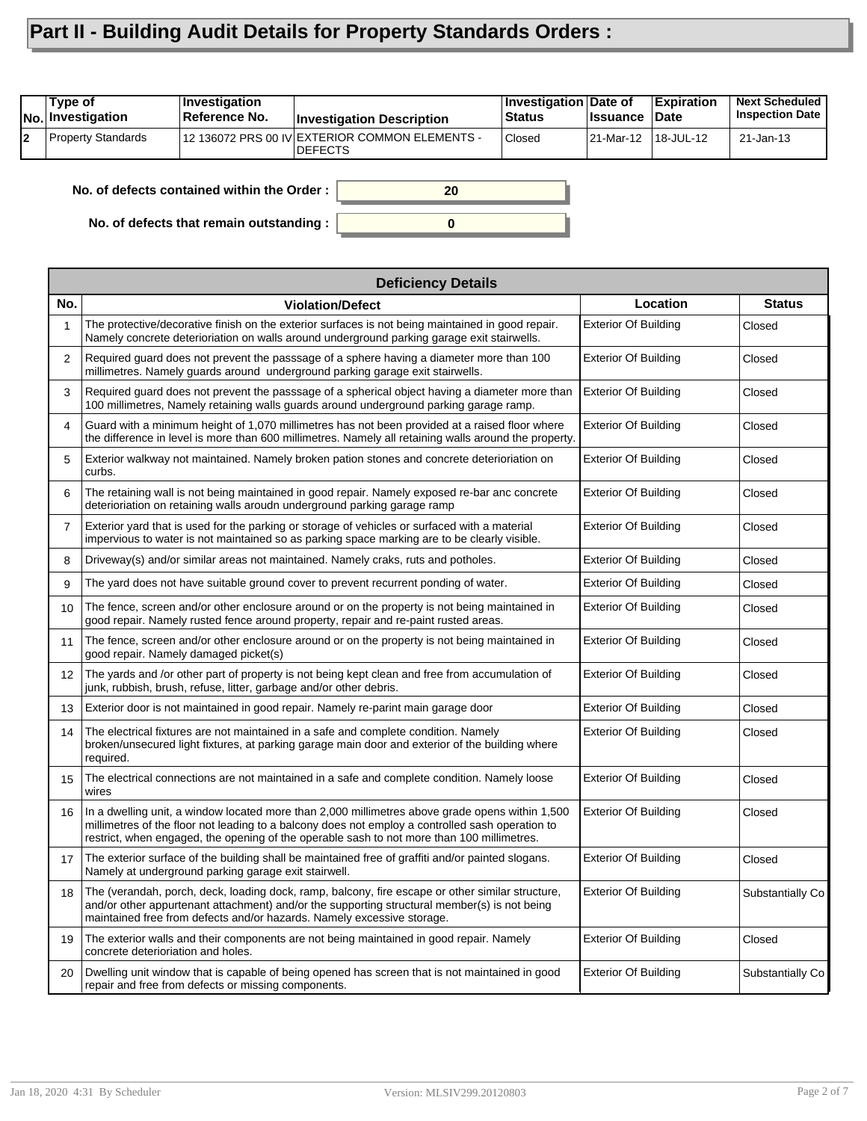## **Part II - Building Audit Details for Property Standards Orders :**

|    | Type of<br><b>No.</b> Investigation | Investigation<br>Reference No.             | <b>Investigation Description</b>                                  | Investigation Date of<br><b>Status</b> | <b>∣Issuance</b> | <b>Expiration</b><br><b>Date</b> | <b>Next Scheduled</b><br><b>Inspection Date</b> |
|----|-------------------------------------|--------------------------------------------|-------------------------------------------------------------------|----------------------------------------|------------------|----------------------------------|-------------------------------------------------|
| l2 | <b>Property Standards</b>           |                                            | 12 136072 PRS 00 IV EXTERIOR COMMON ELEMENTS -<br><b>IDEFECTS</b> | <b>Closed</b>                          | 21-Mar-12        | 18-JUL-12                        | 21-Jan-13                                       |
|    |                                     | No. of defects contained within the Order: | 20                                                                |                                        |                  |                                  |                                                 |

**0**

**No. of defects contained within the Order :**

**No. of defects that remain outstanding :**

|                | <b>Deficiency Details</b>                                                                                                                                                                                                                                                                         |                             |                  |  |  |  |  |
|----------------|---------------------------------------------------------------------------------------------------------------------------------------------------------------------------------------------------------------------------------------------------------------------------------------------------|-----------------------------|------------------|--|--|--|--|
| No.            | <b>Violation/Defect</b>                                                                                                                                                                                                                                                                           | Location                    | <b>Status</b>    |  |  |  |  |
| 1              | The protective/decorative finish on the exterior surfaces is not being maintained in good repair.<br>Namely concrete deterioriation on walls around underground parking garage exit stairwells.                                                                                                   | <b>Exterior Of Building</b> | Closed           |  |  |  |  |
| 2              | Required guard does not prevent the passsage of a sphere having a diameter more than 100<br>millimetres. Namely guards around underground parking garage exit stairwells.                                                                                                                         | <b>Exterior Of Building</b> | Closed           |  |  |  |  |
| 3              | Required guard does not prevent the passsage of a spherical object having a diameter more than<br>100 millimetres, Namely retaining walls guards around underground parking garage ramp.                                                                                                          | <b>Exterior Of Building</b> | Closed           |  |  |  |  |
| 4              | Guard with a minimum height of 1,070 millimetres has not been provided at a raised floor where<br>the difference in level is more than 600 millimetres. Namely all retaining walls around the property.                                                                                           | <b>Exterior Of Building</b> | Closed           |  |  |  |  |
| 5              | Exterior walkway not maintained. Namely broken pation stones and concrete deterioriation on<br>curbs.                                                                                                                                                                                             | <b>Exterior Of Building</b> | Closed           |  |  |  |  |
| 6              | The retaining wall is not being maintained in good repair. Namely exposed re-bar anc concrete<br>deterioriation on retaining walls aroudn underground parking garage ramp                                                                                                                         | <b>Exterior Of Building</b> | Closed           |  |  |  |  |
| $\overline{7}$ | Exterior yard that is used for the parking or storage of vehicles or surfaced with a material<br>impervious to water is not maintained so as parking space marking are to be clearly visible.                                                                                                     | <b>Exterior Of Building</b> | Closed           |  |  |  |  |
| 8              | Driveway(s) and/or similar areas not maintained. Namely craks, ruts and potholes.                                                                                                                                                                                                                 | <b>Exterior Of Building</b> | Closed           |  |  |  |  |
| 9              | The yard does not have suitable ground cover to prevent recurrent ponding of water.                                                                                                                                                                                                               | <b>Exterior Of Building</b> | Closed           |  |  |  |  |
| 10             | The fence, screen and/or other enclosure around or on the property is not being maintained in<br>good repair. Namely rusted fence around property, repair and re-paint rusted areas.                                                                                                              | <b>Exterior Of Building</b> | Closed           |  |  |  |  |
| 11             | The fence, screen and/or other enclosure around or on the property is not being maintained in<br>good repair. Namely damaged picket(s)                                                                                                                                                            | <b>Exterior Of Building</b> | Closed           |  |  |  |  |
| 12             | The yards and /or other part of property is not being kept clean and free from accumulation of<br>junk, rubbish, brush, refuse, litter, garbage and/or other debris.                                                                                                                              | <b>Exterior Of Building</b> | Closed           |  |  |  |  |
| 13             | Exterior door is not maintained in good repair. Namely re-parint main garage door                                                                                                                                                                                                                 | <b>Exterior Of Building</b> | Closed           |  |  |  |  |
| 14             | The electrical fixtures are not maintained in a safe and complete condition. Namely<br>broken/unsecured light fixtures, at parking garage main door and exterior of the building where<br>required.                                                                                               | <b>Exterior Of Building</b> | Closed           |  |  |  |  |
| 15             | The electrical connections are not maintained in a safe and complete condition. Namely loose<br>wires                                                                                                                                                                                             | <b>Exterior Of Building</b> | Closed           |  |  |  |  |
| 16             | In a dwelling unit, a window located more than 2,000 millimetres above grade opens within 1,500<br>millimetres of the floor not leading to a balcony does not employ a controlled sash operation to<br>restrict, when engaged, the opening of the operable sash to not more than 100 millimetres. | <b>Exterior Of Building</b> | Closed           |  |  |  |  |
| 17             | The exterior surface of the building shall be maintained free of graffiti and/or painted slogans.<br>Namely at underground parking garage exit stairwell.                                                                                                                                         | <b>Exterior Of Building</b> | Closed           |  |  |  |  |
| 18             | The (verandah, porch, deck, loading dock, ramp, balcony, fire escape or other similar structure,<br>and/or other appurtenant attachment) and/or the supporting structural member(s) is not being<br>maintained free from defects and/or hazards. Namely excessive storage.                        | <b>Exterior Of Building</b> | Substantially Co |  |  |  |  |
| 19             | The exterior walls and their components are not being maintained in good repair. Namely<br>concrete deterioriation and holes.                                                                                                                                                                     | <b>Exterior Of Building</b> | Closed           |  |  |  |  |
| 20             | Dwelling unit window that is capable of being opened has screen that is not maintained in good<br>repair and free from defects or missing components.                                                                                                                                             | <b>Exterior Of Building</b> | Substantially Co |  |  |  |  |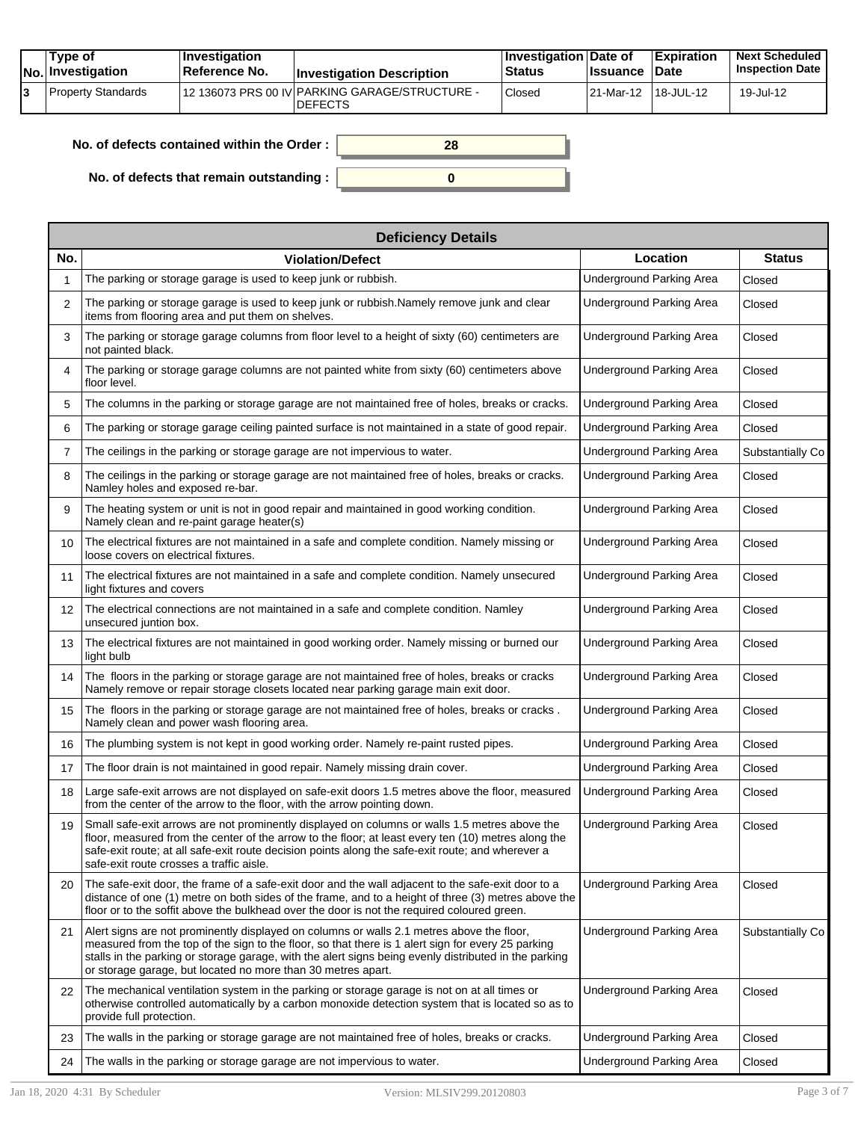|  | Tvpe of<br>$ No $ Investigation | $\blacksquare$ Investigation<br>Reference No. | <b>Investigation Description</b>                                 | <b>Investigation Date of</b><br><b>Status</b> | <b>Issuance Date</b> | <b>Expiration</b> | <b>Next Scheduled</b><br><b>Inspection Date</b> |
|--|---------------------------------|-----------------------------------------------|------------------------------------------------------------------|-----------------------------------------------|----------------------|-------------------|-------------------------------------------------|
|  | Property Standards              |                                               | 12 136073 PRS 00 IV PARKING GARAGE/STRUCTURE -<br><b>DEFECTS</b> | Closed                                        | 21-Mar-12 18-JUL-12  |                   | 19-Jul-12                                       |

| No. of defects contained within the Order : $\vert$ | 28 |
|-----------------------------------------------------|----|
|                                                     |    |
| No. of defects that remain outstanding : $\vert$    |    |

|                 | <b>Deficiency Details</b>                                                                                                                                                                                                                                                                                                                                                |                                 |                  |  |  |  |  |
|-----------------|--------------------------------------------------------------------------------------------------------------------------------------------------------------------------------------------------------------------------------------------------------------------------------------------------------------------------------------------------------------------------|---------------------------------|------------------|--|--|--|--|
| No.             | <b>Violation/Defect</b>                                                                                                                                                                                                                                                                                                                                                  | Location                        | <b>Status</b>    |  |  |  |  |
| 1               | The parking or storage garage is used to keep junk or rubbish.                                                                                                                                                                                                                                                                                                           | Underground Parking Area        | Closed           |  |  |  |  |
| 2               | The parking or storage garage is used to keep junk or rubbish.Namely remove junk and clear<br>items from flooring area and put them on shelves.                                                                                                                                                                                                                          | <b>Underground Parking Area</b> | Closed           |  |  |  |  |
| 3               | The parking or storage garage columns from floor level to a height of sixty (60) centimeters are<br>not painted black.                                                                                                                                                                                                                                                   | Underground Parking Area        | Closed           |  |  |  |  |
| 4               | The parking or storage garage columns are not painted white from sixty (60) centimeters above<br>floor level.                                                                                                                                                                                                                                                            | Underground Parking Area        | Closed           |  |  |  |  |
| 5               | The columns in the parking or storage garage are not maintained free of holes, breaks or cracks.                                                                                                                                                                                                                                                                         | Underground Parking Area        | Closed           |  |  |  |  |
| 6               | The parking or storage garage ceiling painted surface is not maintained in a state of good repair.                                                                                                                                                                                                                                                                       | <b>Underground Parking Area</b> | Closed           |  |  |  |  |
| 7               | The ceilings in the parking or storage garage are not impervious to water.                                                                                                                                                                                                                                                                                               | <b>Underground Parking Area</b> | Substantially Co |  |  |  |  |
| 8               | The ceilings in the parking or storage garage are not maintained free of holes, breaks or cracks.<br>Namley holes and exposed re-bar.                                                                                                                                                                                                                                    | Underground Parking Area        | Closed           |  |  |  |  |
| 9               | The heating system or unit is not in good repair and maintained in good working condition.<br>Namely clean and re-paint garage heater(s)                                                                                                                                                                                                                                 | Underground Parking Area        | Closed           |  |  |  |  |
| 10              | The electrical fixtures are not maintained in a safe and complete condition. Namely missing or<br>loose covers on electrical fixtures.                                                                                                                                                                                                                                   | Underground Parking Area        | Closed           |  |  |  |  |
| 11              | The electrical fixtures are not maintained in a safe and complete condition. Namely unsecured<br>light fixtures and covers                                                                                                                                                                                                                                               | Underground Parking Area        | Closed           |  |  |  |  |
| 12 <sup>2</sup> | The electrical connections are not maintained in a safe and complete condition. Namley<br>unsecured juntion box.                                                                                                                                                                                                                                                         | Underground Parking Area        | Closed           |  |  |  |  |
| 13              | The electrical fixtures are not maintained in good working order. Namely missing or burned our<br>light bulb                                                                                                                                                                                                                                                             | Underground Parking Area        | Closed           |  |  |  |  |
| 14              | The floors in the parking or storage garage are not maintained free of holes, breaks or cracks<br>Namely remove or repair storage closets located near parking garage main exit door.                                                                                                                                                                                    | Underground Parking Area        | Closed           |  |  |  |  |
| 15              | The floors in the parking or storage garage are not maintained free of holes, breaks or cracks.<br>Namely clean and power wash flooring area.                                                                                                                                                                                                                            | Underground Parking Area        | Closed           |  |  |  |  |
| 16              | The plumbing system is not kept in good working order. Namely re-paint rusted pipes.                                                                                                                                                                                                                                                                                     | <b>Underground Parking Area</b> | Closed           |  |  |  |  |
| 17              | The floor drain is not maintained in good repair. Namely missing drain cover.                                                                                                                                                                                                                                                                                            | <b>Underground Parking Area</b> | Closed           |  |  |  |  |
| 18              | Large safe-exit arrows are not displayed on safe-exit doors 1.5 metres above the floor, measured<br>from the center of the arrow to the floor, with the arrow pointing down.                                                                                                                                                                                             | Underground Parking Area        | Closed           |  |  |  |  |
| 19              | Small safe-exit arrows are not prominently displayed on columns or walls 1.5 metres above the<br>floor, measured from the center of the arrow to the floor; at least every ten (10) metres along the<br>safe-exit route; at all safe-exit route decision points along the safe-exit route; and wherever a<br>safe-exit route crosses a traffic aisle.                    | <b>Underground Parking Area</b> | Closed           |  |  |  |  |
| 20              | The safe-exit door, the frame of a safe-exit door and the wall adjacent to the safe-exit door to a<br>distance of one (1) metre on both sides of the frame, and to a height of three (3) metres above the<br>floor or to the soffit above the bulkhead over the door is not the required coloured green.                                                                 | <b>Underground Parking Area</b> | Closed           |  |  |  |  |
| 21              | Alert signs are not prominently displayed on columns or walls 2.1 metres above the floor,<br>measured from the top of the sign to the floor, so that there is 1 alert sign for every 25 parking<br>stalls in the parking or storage garage, with the alert signs being evenly distributed in the parking<br>or storage garage, but located no more than 30 metres apart. | Underground Parking Area        | Substantially Co |  |  |  |  |
| 22              | The mechanical ventilation system in the parking or storage garage is not on at all times or<br>otherwise controlled automatically by a carbon monoxide detection system that is located so as to<br>provide full protection.                                                                                                                                            | Underground Parking Area        | Closed           |  |  |  |  |
| 23              | The walls in the parking or storage garage are not maintained free of holes, breaks or cracks.                                                                                                                                                                                                                                                                           | Underground Parking Area        | Closed           |  |  |  |  |
| 24              | The walls in the parking or storage garage are not impervious to water.                                                                                                                                                                                                                                                                                                  | <b>Underground Parking Area</b> | Closed           |  |  |  |  |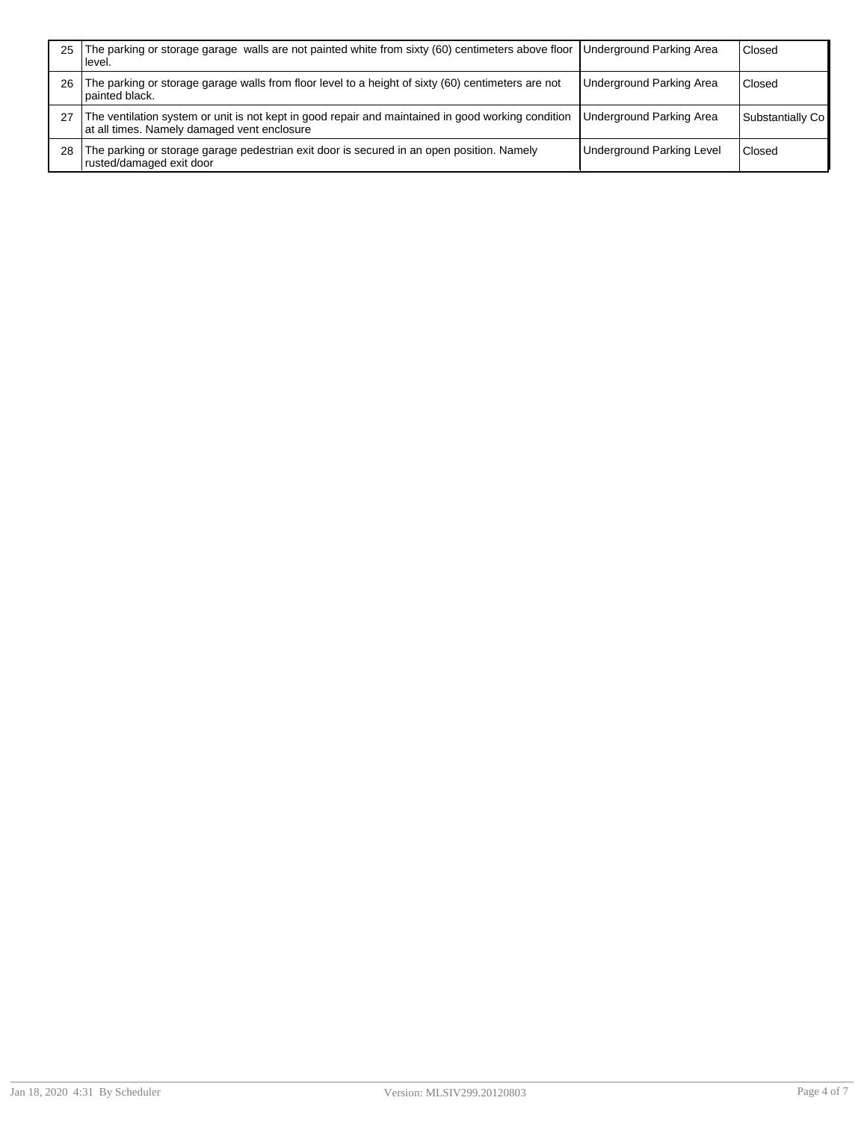| 25 | The parking or storage garage walls are not painted white from sixty (60) centimeters above floor  Underground Parking Area<br>⊺level.            |                                  | Closed           |
|----|---------------------------------------------------------------------------------------------------------------------------------------------------|----------------------------------|------------------|
| 26 | The parking or storage garage walls from floor level to a height of sixty (60) centimeters are not<br>I painted black.                            | <b>Underground Parking Area</b>  | Closed           |
|    | The ventilation system or unit is not kept in good repair and maintained in good working condition<br>at all times. Namely damaged vent enclosure | <b>Underground Parking Area</b>  | Substantially Co |
| 28 | The parking or storage garage pedestrian exit door is secured in an open position. Namely<br>rusted/damaged exit door                             | <b>Underground Parking Level</b> | Closed           |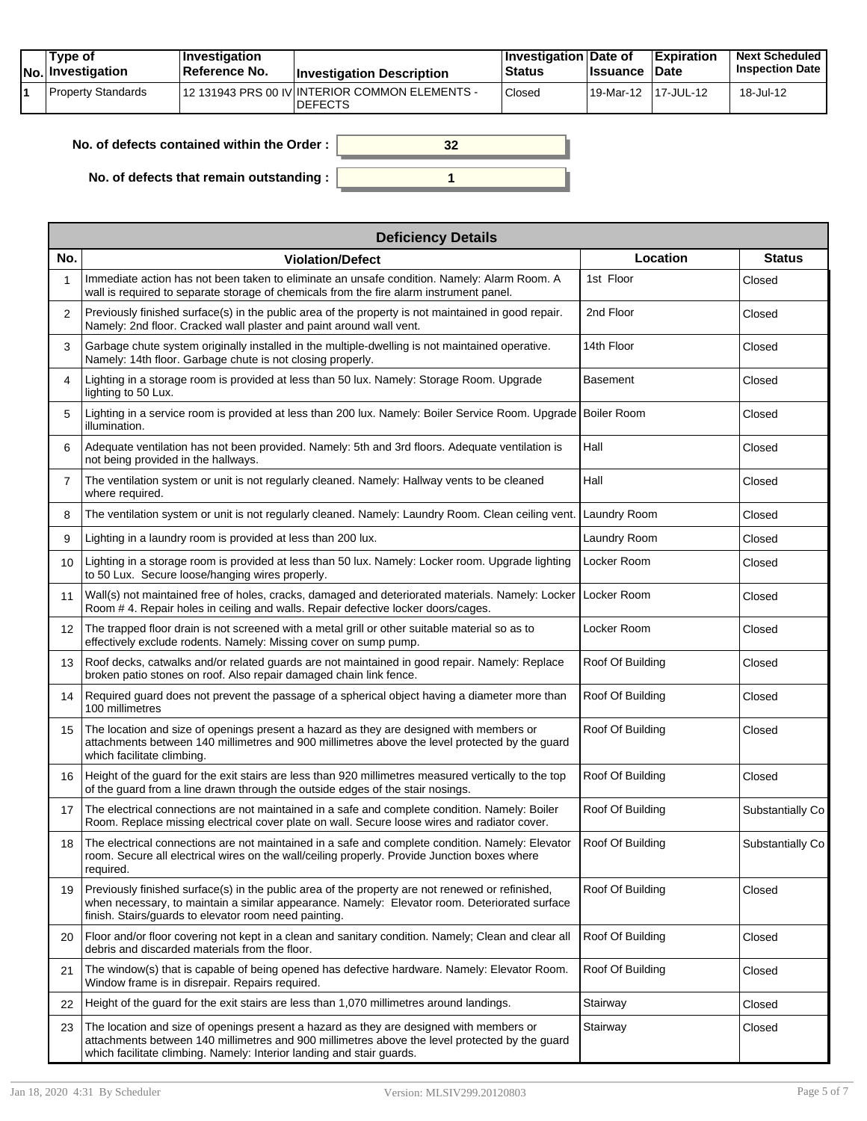| Tvpe of<br>No. Investigation | $\blacksquare$ Investigation<br>Reference No. | <b>Investigation Description</b>                                 | <b>Investigation Date of</b><br><b>Status</b> | <b>Issuance</b> | <b>Expiration</b><br><b>Date</b> | <b>Next Scheduled</b><br><b>Inspection Date</b> |
|------------------------------|-----------------------------------------------|------------------------------------------------------------------|-----------------------------------------------|-----------------|----------------------------------|-------------------------------------------------|
| Property Standards           |                                               | 12 131943 PRS 00 IV INTERIOR COMMON ELEMENTS -<br><b>DEFECTS</b> | Closed                                        | 19-Mar-12       | 117-JUL-12                       | 18-Jul-12                                       |

| No. of defects contained within the Order: |  |
|--------------------------------------------|--|
| No. of defects that remain outstanding :   |  |

|                 | <b>Deficiency Details</b>                                                                                                                                                                                                                                          |                  |                  |  |  |  |  |
|-----------------|--------------------------------------------------------------------------------------------------------------------------------------------------------------------------------------------------------------------------------------------------------------------|------------------|------------------|--|--|--|--|
| No.             | <b>Violation/Defect</b>                                                                                                                                                                                                                                            | Location         | <b>Status</b>    |  |  |  |  |
|                 | Immediate action has not been taken to eliminate an unsafe condition. Namely: Alarm Room. A<br>wall is required to separate storage of chemicals from the fire alarm instrument panel.                                                                             | 1st Floor        | Closed           |  |  |  |  |
| 2               | Previously finished surface(s) in the public area of the property is not maintained in good repair.<br>Namely: 2nd floor. Cracked wall plaster and paint around wall vent.                                                                                         | 2nd Floor        | Closed           |  |  |  |  |
| 3               | Garbage chute system originally installed in the multiple-dwelling is not maintained operative.<br>Namely: 14th floor. Garbage chute is not closing properly.                                                                                                      | 14th Floor       | Closed           |  |  |  |  |
| 4               | Lighting in a storage room is provided at less than 50 lux. Namely: Storage Room. Upgrade<br>lighting to 50 Lux.                                                                                                                                                   | <b>Basement</b>  | Closed           |  |  |  |  |
| 5               | Lighting in a service room is provided at less than 200 lux. Namely: Boiler Service Room. Upgrade Boiler Room<br>illumination.                                                                                                                                     |                  | Closed           |  |  |  |  |
| 6               | Adequate ventilation has not been provided. Namely: 5th and 3rd floors. Adequate ventilation is<br>not being provided in the hallways.                                                                                                                             | Hall             | Closed           |  |  |  |  |
| $\overline{7}$  | The ventilation system or unit is not regularly cleaned. Namely: Hallway vents to be cleaned<br>where required.                                                                                                                                                    | Hall             | Closed           |  |  |  |  |
| 8               | The ventilation system or unit is not regularly cleaned. Namely: Laundry Room. Clean ceiling vent.                                                                                                                                                                 | Laundry Room     | Closed           |  |  |  |  |
| 9               | Lighting in a laundry room is provided at less than 200 lux.                                                                                                                                                                                                       | Laundry Room     | Closed           |  |  |  |  |
| 10              | Lighting in a storage room is provided at less than 50 lux. Namely: Locker room. Upgrade lighting<br>to 50 Lux. Secure loose/hanging wires properly.                                                                                                               | Locker Room      | Closed           |  |  |  |  |
| 11              | Wall(s) not maintained free of holes, cracks, damaged and deteriorated materials. Namely: Locker<br>Room #4. Repair holes in ceiling and walls. Repair defective locker doors/cages.                                                                               | Locker Room      | Closed           |  |  |  |  |
| 12 <sup>2</sup> | The trapped floor drain is not screened with a metal grill or other suitable material so as to<br>effectively exclude rodents. Namely: Missing cover on sump pump.                                                                                                 | Locker Room      | Closed           |  |  |  |  |
| 13              | Roof decks, catwalks and/or related guards are not maintained in good repair. Namely: Replace<br>broken patio stones on roof. Also repair damaged chain link fence.                                                                                                | Roof Of Building | Closed           |  |  |  |  |
| 14              | Required guard does not prevent the passage of a spherical object having a diameter more than<br>100 millimetres                                                                                                                                                   | Roof Of Building | Closed           |  |  |  |  |
| 15              | The location and size of openings present a hazard as they are designed with members or<br>attachments between 140 millimetres and 900 millimetres above the level protected by the guard<br>which facilitate climbing.                                            | Roof Of Building | Closed           |  |  |  |  |
| 16              | Height of the guard for the exit stairs are less than 920 millimetres measured vertically to the top<br>of the guard from a line drawn through the outside edges of the stair nosings.                                                                             | Roof Of Building | Closed           |  |  |  |  |
| 17              | The electrical connections are not maintained in a safe and complete condition. Namely: Boiler<br>Room. Replace missing electrical cover plate on wall. Secure loose wires and radiator cover.                                                                     | Roof Of Building | Substantially Co |  |  |  |  |
| 18              | The electrical connections are not maintained in a safe and complete condition. Namely: Elevator<br>room. Secure all electrical wires on the wall/ceiling properly. Provide Junction boxes where<br>required.                                                      | Roof Of Building | Substantially Co |  |  |  |  |
| 19              | Previously finished surface(s) in the public area of the property are not renewed or refinished,<br>when necessary, to maintain a similar appearance. Namely: Elevator room. Deteriorated surface<br>finish. Stairs/guards to elevator room need painting.         | Roof Of Building | Closed           |  |  |  |  |
| 20              | Floor and/or floor covering not kept in a clean and sanitary condition. Namely; Clean and clear all<br>debris and discarded materials from the floor.                                                                                                              | Roof Of Building | Closed           |  |  |  |  |
| 21              | The window(s) that is capable of being opened has defective hardware. Namely: Elevator Room.<br>Window frame is in disrepair. Repairs required.                                                                                                                    | Roof Of Building | Closed           |  |  |  |  |
| 22              | Height of the quard for the exit stairs are less than 1,070 millimetres around landings.                                                                                                                                                                           | Stairway         | Closed           |  |  |  |  |
| 23              | The location and size of openings present a hazard as they are designed with members or<br>attachments between 140 millimetres and 900 millimetres above the level protected by the quard<br>which facilitate climbing. Namely: Interior landing and stair guards. | Stairway         | Closed           |  |  |  |  |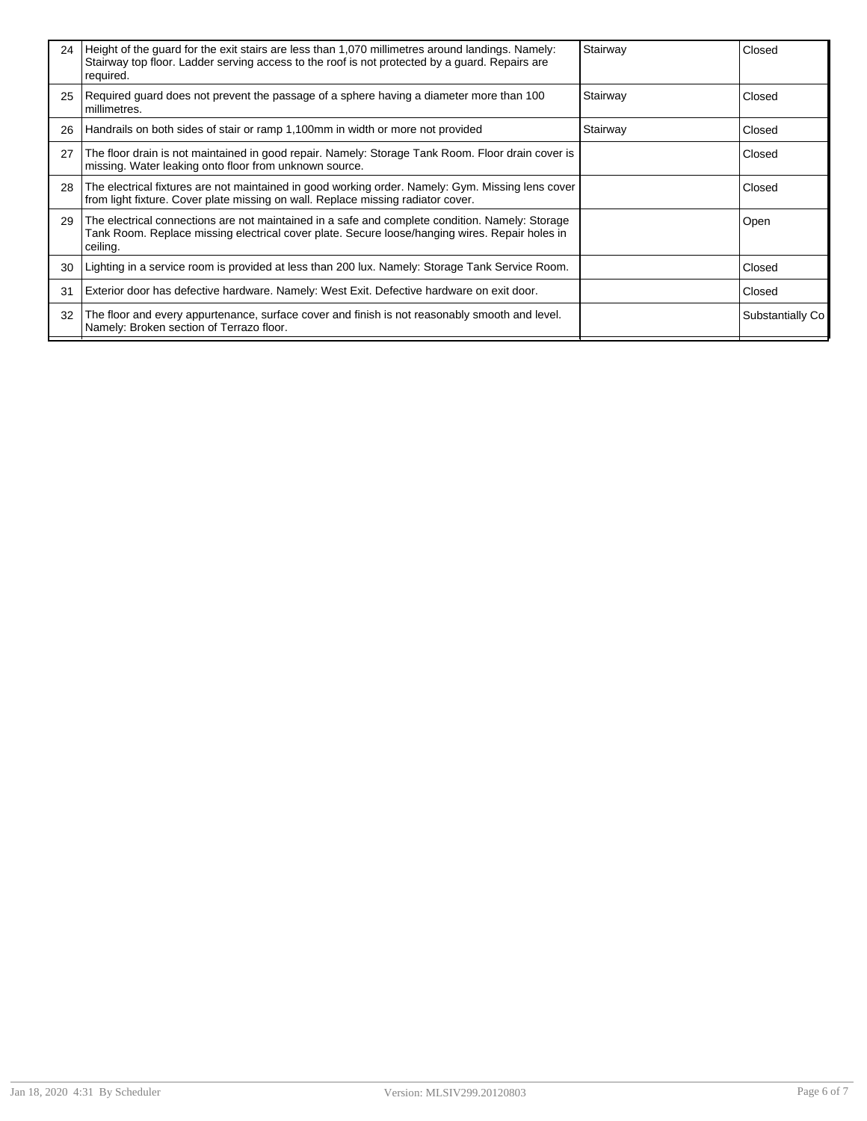| 24 | Height of the guard for the exit stairs are less than 1,070 millimetres around landings. Namely:<br>Stairway top floor. Ladder serving access to the roof is not protected by a guard. Repairs are<br>required. | Stairway | Closed           |
|----|-----------------------------------------------------------------------------------------------------------------------------------------------------------------------------------------------------------------|----------|------------------|
| 25 | Required guard does not prevent the passage of a sphere having a diameter more than 100<br>millimetres.                                                                                                         | Stairway | Closed           |
| 26 | Handrails on both sides of stair or ramp 1,100mm in width or more not provided                                                                                                                                  | Stairway | Closed           |
| 27 | The floor drain is not maintained in good repair. Namely: Storage Tank Room. Floor drain cover is<br>missing. Water leaking onto floor from unknown source.                                                     |          | Closed           |
| 28 | The electrical fixtures are not maintained in good working order. Namely: Gym. Missing lens cover<br>from light fixture. Cover plate missing on wall. Replace missing radiator cover.                           |          | Closed           |
| 29 | The electrical connections are not maintained in a safe and complete condition. Namely: Storage<br>Tank Room. Replace missing electrical cover plate. Secure loose/hanging wires. Repair holes in<br>ceiling.   |          | Open             |
| 30 | Lighting in a service room is provided at less than 200 lux. Namely: Storage Tank Service Room.                                                                                                                 |          | Closed           |
| 31 | Exterior door has defective hardware. Namely: West Exit. Defective hardware on exit door.                                                                                                                       |          | Closed           |
| 32 | The floor and every appurtenance, surface cover and finish is not reasonably smooth and level.<br>Namely: Broken section of Terrazo floor.                                                                      |          | Substantially Co |